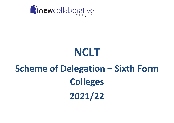

# **NCLT**

# **Scheme of Delegation – Sixth Form Colleges 2021/22**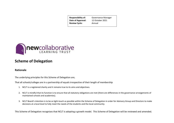| <b>Responsibility of:</b> | <b>Governance Manager</b> |
|---------------------------|---------------------------|
| Date of Approval:         | 12 October 2021           |
| <b>Review Cycle:</b>      | Annual                    |



## **Scheme of Delegation**

### **Rationale**

The underlying principles for this Scheme of Delegation are;

That all schools/colleges are in a partnership of equals irrespective of their length of membership

- 1. NCLT is a registered charity and it remains true to its aims and objectives.
- 2. NCLT is mindful that its function is to ensure that all statutory obligations are met (there are differences in the governance arrangements of maintained schools and academies).
- 3. NCLT Board's intention is to be as light-touch as possible within the Scheme of Delegation in order for Advisory Group and Directors to make decisions at a local level to fully meet the needs of the students and the local community.

This Scheme of Delegation recognises that NCLT is adopting a growth model. This Scheme of Delegation will be reviewed and amended.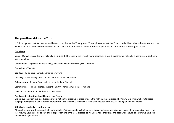### **The growth model for the Trust**

NCLT recognises that its structure will need to evolve as the Trust grows. These phases reflect the Trust's initial ideas about the structure of the Trust over time and will be reviewed and the structure amended in line with the size, performance and needs of the organisation.

#### **Our Vision**

Vision - Our colleges and school will make a significant difference to the lives of young people. As a result, together we will make a positive contribution to social mobility.

Commitment- To provide an outstanding, consistent experience through collaboration.

#### **Our Values – The 5 Cs**

- **Candour**  To be open, honest and fair to everyone
- **Challenge**  To have high expectations of ourselves and each other
- **Collaboration**  To learn from each other for the benefit of all
- **Commitment**  To be dedicated, resilient and strive for continuous improvement
- **Care**  To be considerate of others and their needs

#### **Excellence in education should be everyone's right**

We believe that high quality education should not be the preserve of those living in the right catchment areas. That's why as a Trust we have targeted geographical regions of educational underperformance, where we can make a significant impact on the lives of the region's young people.

#### **Thinking in hundreds, counting in ones**

Although we work with thousands of young people, it's important to us that we treat every student as an individual. That's why we spend so much time interviewing young people as part of our application and enrolment process, so we understand their aims and goals well enough to ensure we have put them on the right path to success.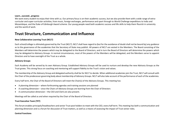#### **Learn…succeed...progress**

We want every student to enjoy their time with us. Our primary focus is on their academic success, but we also provide them with a wide range of extracurricular and super-curricular activities, from music, foreign exchanges, performance and sport through to World Challenge expeditions to India and Mozambique, and the Duke of Edinburgh Award scheme. Our young people need both academic success and life skills to help them flourish in university and the world of work.

## **Trust Structure, Communication and Influence**

#### **New Collaborative Learning Trust (NCLT)**

Each school/college is ultimately governed by the Trust (NCLT). NCLT shall have regard to (but for the avoidance of doubt shall not be bound by) any *guidance* as to the governance of the academies that the Secretary of State may publish. All powers of NCLT are vested in the Members. The Board consisting of the Members will determine the powers which may be delegated to the Board of Directors, and in turn the Board of Directors will determine the powers which may be delegated to Advisory Groups. In normal circumstances, most of the powers of the Members will be delegated, and the Members serve to appoint Directors and to have oversight of the Trust as a whole.

#### **Advisory Groups**

Each Academy will be served by its own Advisory Group. Established Advisory Groups will be used to nurture and develop the new Advisory Groups as the Trust grows. This strong focus on coaching and mentoring will support fidelity to the Trust's vision and values.

The membership of the Advisory Group and delegated authority shall be for NCLT to decide. When additional academies join the Trust, NCLT will consult with the Chair of the predecessor governing body about membership of Advisory Groups. NCLT will also take account of the performance of each of the academies.

Every half term, the Chair of the Board of Directors will meet the Chair(s) of the Advisory Groups. This meeting has:

- A planning dimension where forthcoming agendas and training sessions are planned
- A coaching dimension since the Chairs of Advisory Groups are learning from the Chair of Directors
- A communication dimension the CEO and Clerk are also present.

Meetings will be called as and when required by the Chair of the Board of Directors.

#### **Trust Executive Team (TET)**

This forum enables principals/headteachers and senior Trust post holders to meet with the CEO, every half term. This meeting has both a communication and planning dimension and is a forum for discussion of Trust matters, as well as a means of assessing the impact of Trust senior roles.

#### **Central Functions**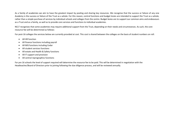As a family of academies we aim to have the greatest impact by pooling and sharing key resources. We recognise that the success or failure of any one Academy is the success or failure of the Trust as a whole. For this reason, central functions and budget levies are intended to support the Trust as a whole, rather than a simple purchase of services by individual schools and colleges from the centre. Budget levies are to support our common aims and endeavours as a Trust and as a family, as well as to provide core services and functions to individual academies.

NCLT recognises that some academies may require additional support from the Trust, depending on their needs and circumstances. As such, the core resource fee will be determined as follows:

For post-16 colleges the services below are currently provided at cost. This cost is shared between the colleges on the basis of student numbers on roll:

- All HR function
- All finance functions including payroll
- All MIS functions including Cedar
- All student services functions
- All estate and Health & Safety functions
- All IT support and provision
- All central reprographics functions

For pre 16 schools the level of support required will determine the resource fee to be paid. This will be determined in negotiation with the Headteacher/Board of Directors prior to joining following the due diligence process, and will be reviewed annually.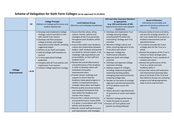## **Scheme of Delegation for Sixth Form Colleges (to be approved 12.10.2021)**

|                               | <b>EIF</b> | <b>College Principal</b><br>(Delivers on College performance and<br>student experience)                                                                                                                                                                                                                                                                                                                                                                                                     | <b>Local Advisory Group</b><br>(Monitors and challenges Academies)                                                                                                                                                                                                                                                                                                                                                                                                                                                                                                                                                                                                                                                                                                                                                                                                                                                                                                                                                                                                                                              | <b>CEO and other Executive Members</b><br>as appropriate<br>(e.g. COO and Director of HR)<br>(Approves key items and supports<br>Academies)                                                                                                                                                                                                                                                                                                                                                                                                                                                                                                                                                                                                                                                                                                                                                                           | <b>Board of Directors</b><br>(Ultimately accountable and<br>approves all statutory policies and<br>finance)                                                                                                                                                                                                                                                                                                                                                                                                                                                                                                                                                                                                          |
|-------------------------------|------------|---------------------------------------------------------------------------------------------------------------------------------------------------------------------------------------------------------------------------------------------------------------------------------------------------------------------------------------------------------------------------------------------------------------------------------------------------------------------------------------------|-----------------------------------------------------------------------------------------------------------------------------------------------------------------------------------------------------------------------------------------------------------------------------------------------------------------------------------------------------------------------------------------------------------------------------------------------------------------------------------------------------------------------------------------------------------------------------------------------------------------------------------------------------------------------------------------------------------------------------------------------------------------------------------------------------------------------------------------------------------------------------------------------------------------------------------------------------------------------------------------------------------------------------------------------------------------------------------------------------------------|-----------------------------------------------------------------------------------------------------------------------------------------------------------------------------------------------------------------------------------------------------------------------------------------------------------------------------------------------------------------------------------------------------------------------------------------------------------------------------------------------------------------------------------------------------------------------------------------------------------------------------------------------------------------------------------------------------------------------------------------------------------------------------------------------------------------------------------------------------------------------------------------------------------------------|----------------------------------------------------------------------------------------------------------------------------------------------------------------------------------------------------------------------------------------------------------------------------------------------------------------------------------------------------------------------------------------------------------------------------------------------------------------------------------------------------------------------------------------------------------------------------------------------------------------------------------------------------------------------------------------------------------------------|
| <b>College</b><br>Improvement | L&M        | • Develops and implements College<br>strategy, culture and ethos in line<br>with overall Trust mission<br>• Develops and then proposes<br>College priorities and College<br>improvement plan (QuIP), including<br>suggesting targets<br>• Delivers as per QuIP and targets<br>• Hold all College staff members to<br>account<br>• To have operational College<br>leadership<br>• Complies with all Trust policies and<br>implements Trust systems<br>• Initiates College expansion strategy | • Ensure that the values, ethos,<br>culture, mission, policies and<br>strategies of the Trust permeate<br>throughout each Academy within<br>the cluster.<br>• Ensure that within each Academy,<br>culture and relationships between<br>leaders, staff, students and parents<br>are based on mutual respect, trust,<br>challenge, high expectations and<br>accountability, so that staff and<br>students excel.<br>• Review the overall effectiveness<br>and performance of the Academy<br>in order to develop robust self-<br>evaluation and quality<br>improvement plans.<br>• Provide review, challenge and<br>support to ensure that the<br>Academy makes good progress in<br>relation to improvement plans,<br>strategic robust plans and targets.<br>• Review quality assurance systems<br>and standards frameworks that<br>exist within the Academy and<br>monitor their impact.<br>• Ensure that a robust and incisive<br>annual performance review (APR)<br>is in place, in accordance with Trust<br>policies and procedures.<br>• Monitor overall staff performance<br>and improvement, and strategies | • Develops and implements Trust<br>strategy ensuring college<br>priorities/QuIP fit within the<br>overarching strategy and Trust<br>priorities<br>• Monitors College culture and<br>ethos, ensuring alignment to the<br>Trust ethos and culture<br>• Approves College Key<br>Performance Indicators<br>• Approves QuIP and College<br>priorities<br>• Develops and approves College<br>expansion strategy<br>• Deploys support to Colleges,<br>including: implementing QuIP;<br>improving teaching quality;<br>managing assessment processes;<br>analysing College data<br>Decides on the levels of strategic<br>alignment and the harmonisation<br>of Trust policies across the<br>Colleges<br>• Makes decisions regarding levels<br>of autonomy at senior and subject<br>level<br>• Monitors College performance<br>• Holds Principals to account<br>• Ensures all Trust policies and<br>systems are being followed | • Ensures clarity of vision and ethos,<br>and sets the strategic direction of<br>the Trust:-holds CEO to account on<br>Academy improvement and all<br>operational areas.<br>• To endorse annually the 3 year<br>strategic plan for the Trust as a<br>whole<br>. Review the progress of the Trust in<br>relation to these strategic plans<br>• Upholding the Trust's standards of<br>conduct and values<br>• Review the performance of the<br>Trust as a whole and each<br>Academy within it<br>• Ensure that robust self-evaluation<br>and improvement planning takes<br>place at all levels of the Trust and<br>that Advisory Groups are reviewing<br>progress and taking appropriate<br>steps to drive improvement |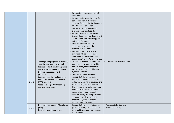|                |                                                                                                                                                                                                                                                                                                                                                      | for talent management and staff<br>development.<br>• Provide challenge and support for<br>senior leaders which sustains<br>constant focus on the link between<br>effective leadership, staff<br>performance and development,<br>and outcomes for students.<br>• Provide review and challenge so                                                                                                                                                                                                                                                                                                     |                                                      |  |
|----------------|------------------------------------------------------------------------------------------------------------------------------------------------------------------------------------------------------------------------------------------------------------------------------------------------------------------------------------------------------|-----------------------------------------------------------------------------------------------------------------------------------------------------------------------------------------------------------------------------------------------------------------------------------------------------------------------------------------------------------------------------------------------------------------------------------------------------------------------------------------------------------------------------------------------------------------------------------------------------|------------------------------------------------------|--|
|                |                                                                                                                                                                                                                                                                                                                                                      | that staff and resource deployment<br>within the Academy best supports<br>outcomes for students<br>• Promote cooperation and<br>collaboration between the<br>Academies in the Trust.<br>• Recommend to the Board of<br>Directors, where appropriate,<br>individuals to be considered for<br>appointment to the Advisory Group                                                                                                                                                                                                                                                                       |                                                      |  |
| Q of E         | • Develops and proposes curriculum,<br>teaching and assessment model<br>• Propose and deliver staffing model<br>and associated College timetable<br>· Delivers Trust assessment<br>processes<br>· Improves teaching quality through<br>the annual performance review<br>(APR) and CPD<br>• Leads on all aspects of teaching<br>and learning strategy | • To review the overall attainment<br>and progress of students within<br>the Academy, including that of<br>groups of pupil, and in different<br>types of provision<br>• Support Academy leaders to<br>ensure that the proportion of<br>students completing courses and<br>achieving meaningful qualifications<br>(including English and maths) is<br>high or improving rapidly, and that<br>courses are relevant to students<br>career aims or learning goals<br>• Monitor closely the progression of<br>completing students to positive<br>destinations, such as further<br>training or employment | • Approves curriculum model                          |  |
| <b>B&amp;A</b> | • Delivers Behaviour and Attendance<br>policy<br>• Leads all exclusion processes                                                                                                                                                                                                                                                                     | • Ensure that high expectations for<br>pupil behaviour, attendance and<br>punctuality permeate throughout<br>the Academy.                                                                                                                                                                                                                                                                                                                                                                                                                                                                           | • Approves Behaviour and<br><b>Attendance Policy</b> |  |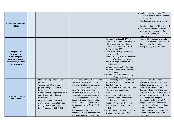| <b>CEO Recruitment, APR</b><br>and Salary                                                                                                                 |                                                                                                                                                                                                                                                                                                                                               |                                                                                                                                                                                                                                                                                                                                                                                                                                                                                                                                    |                                                                                                                                                                                                                                                                                                                                                                                                                                                                                                                                     | • Conducts recruitment of a CEO $-$<br>panel to include at least 1 Member<br>and 1 Director<br>• Chair leads on complaints against<br><b>CEO</b><br>• Chair to conduct the APR of the CEO<br>• Board of Directors to determine the<br>conditions of employment of the<br>CEO, including salary review and<br>progression                                                                                                                                                                                                          |
|-----------------------------------------------------------------------------------------------------------------------------------------------------------|-----------------------------------------------------------------------------------------------------------------------------------------------------------------------------------------------------------------------------------------------------------------------------------------------------------------------------------------------|------------------------------------------------------------------------------------------------------------------------------------------------------------------------------------------------------------------------------------------------------------------------------------------------------------------------------------------------------------------------------------------------------------------------------------------------------------------------------------------------------------------------------------|-------------------------------------------------------------------------------------------------------------------------------------------------------------------------------------------------------------------------------------------------------------------------------------------------------------------------------------------------------------------------------------------------------------------------------------------------------------------------------------------------------------------------------------|-----------------------------------------------------------------------------------------------------------------------------------------------------------------------------------------------------------------------------------------------------------------------------------------------------------------------------------------------------------------------------------------------------------------------------------------------------------------------------------------------------------------------------------|
| Principal/COO/<br><b>Trust Director/</b><br><b>Vice Principals/</b><br><b>Assistant Principals</b><br><b>Recruitment, APR and</b><br><b>Salary Review</b> |                                                                                                                                                                                                                                                                                                                                               |                                                                                                                                                                                                                                                                                                                                                                                                                                                                                                                                    | • Conducts Principal/COO/Trust<br>Director recruitment and appraisals<br>with engagement from Chair of<br>Directors and other Directors as<br>determined by CEO<br>• Determines salary point and pay<br>progression of<br>Principals/COO/Trust Directors Vice<br>Principals/Assistant Principals<br>within set range as approved by<br><b>Board of Directors</b><br>• Initiates recruitment of Principal<br>and senior teams and other senior<br>Trust positions<br>• Reviews and recommends salary<br>ranges to Board of Directors | . Board of Directors approves salary<br>ranges of Principals and senior staff<br>• Supports recruitment of a<br>Principal/COO/Trust Directors                                                                                                                                                                                                                                                                                                                                                                                     |
| <b>Finance, Procurement</b><br>and Estates                                                                                                                | • Monitors budget and financial<br>targets<br>• Works with COO to prepare and<br>propose budget and 3-year<br>forecasting<br>. Works with COO on preparation of<br>end-of-year College finance<br>documents<br>• Provides feedback to CEO on<br>performance of central services<br>· Manages curriculum reserve<br>budget (agreed by CEO/COO) | • Finance and audit functions are not<br>performed by Advisory Groups.<br>Financial handling will be managed<br>centrally by the Trust. College<br>budgets, financial planning,<br>financial policies and procedures,<br>review of management accounts<br>will be managed by the COO and<br>Board of Directors. Issues relating<br>to audit and financial controls will<br>be managed by the Trust's Audit<br>Committee.<br>• The management of estates, a<br>range of core contracted services<br>and large-scale procurement are | • Sets financial policies with COO for<br>approval of Audit Committee and<br><b>Board of Directors</b><br>• Recommends to Board of Directors:<br>- College 3 year budgets and<br>forecasts<br>· Recommends College finance<br>targets to Audit Committee and<br>Board of Directors (COO)<br>• Supports Principals with College<br>finances and budget monitoring<br>(COO)<br>• Responsible for all Trust finances as<br>delegated by Accounting Officer                                                                             | • Ensure the effective financial<br>management of the Trust and its<br>Colleges ensuring compliance with<br>general legislative requirements.<br>Receive and review management<br>accounts to ensure financial probity<br>. Review and approve the budgets of<br>each College, including the<br>determination of the overall College<br>budgets to be retained for core<br>central services (resource fee) and<br>to be allocated for procured<br>essential services, based upon the<br>recommendations of the Audit<br>Committee |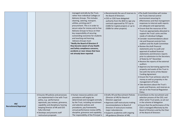|                                     |                                                                                                                                                                                                                                                                                                    | managed centrally by the Trust,<br>rather than individual Colleges or<br>Advisory Groups. This includes<br>cleaning, catering, transport,<br>utilities, printing and IT<br>procurement. This is in order to<br>secure value for money and to free<br>Advisory Groups to focus on their<br>key responsibility of securing<br>outstanding outcomes for students<br>and teaching and learning.<br><b>Advisory Groups must:</b><br>*Notify the Board of Directors if<br>they become aware of any Health<br>and Safety compliance concerns,<br>accidents or near misses that have<br>not already been reported | • Recommends the use of reserves to<br>the Board of Directors<br>• CEO or COO have delegated<br>authority from the BOD to sign any<br>contracts approved by TET (up to<br>£100k for Capital projects or up to<br>£500k for other projects)                                                         | . The Audit Committee will review<br>the Trusts internal control<br>environment ensuring its<br>effectiveness and that management<br>responses to internal audit reports<br>are adequate and appropriate.<br>• Ensure that the resources of the<br>Trust are appropriately allocated to<br>support the Trust's aims and the<br>needs of individual Colleges<br>• Consider recommendations about<br>risk and financial controls from<br>auditors and the Audit Committee<br>• Review the draft financial<br>statements prior to audit and<br>approval of audited financial<br>statements and Directors reports<br>prior to submission to the Secretary<br>of State by 31 <sup>st</sup> December<br>• Receive the reports of the external<br>auditors<br>• Approve any borrowing against the<br>property and assets of the Trust in<br>line with the terms of the Master<br><b>Funding Agreement</b><br>• Ensure the Trust achieves value for<br>money as well as propriety in the<br>management of funds.<br>· Take decisions about the Trust's<br>assets and finances, and reserves as<br>set out in the Financial Regulation<br>Policy |
|-------------------------------------|----------------------------------------------------------------------------------------------------------------------------------------------------------------------------------------------------------------------------------------------------------------------------------------------------|-----------------------------------------------------------------------------------------------------------------------------------------------------------------------------------------------------------------------------------------------------------------------------------------------------------------------------------------------------------------------------------------------------------------------------------------------------------------------------------------------------------------------------------------------------------------------------------------------------------|----------------------------------------------------------------------------------------------------------------------------------------------------------------------------------------------------------------------------------------------------------------------------------------------------|-----------------------------------------------------------------------------------------------------------------------------------------------------------------------------------------------------------------------------------------------------------------------------------------------------------------------------------------------------------------------------------------------------------------------------------------------------------------------------------------------------------------------------------------------------------------------------------------------------------------------------------------------------------------------------------------------------------------------------------------------------------------------------------------------------------------------------------------------------------------------------------------------------------------------------------------------------------------------------------------------------------------------------------------------------------------------------------------------------------------------------------------|
| HR/<br><b>Recruitment/Appraisal</b> | • Ensures HR policies and processes<br>are implemented in line with Trust<br>policy, e.g.: performance<br>appraisals, pay reviews, grievance,<br>capability and disciplinary hearing<br>keeping Director of HR and CEO<br>fully informed<br>• Develops and presents staff<br>restructure proposals | • Human resources policies and<br>procedures will largely be<br>determined and managed centrally<br>by the Trust, including recruitment<br>and selection policies and<br>procedures, pay frameworks,<br>annual performance review (APR),<br>discipline, grievance and capability.<br>The responsibility of the Principal is                                                                                                                                                                                                                                                                               | • Drafts HR and Recruitment Policies<br>(Director of HR) for Board of<br>Directors approval<br>• Approves staff restructures making<br>recommendations to Board of<br>Directors if restructure involves<br>major redundancies<br>• Supports academies with ongoing<br>HR guidance (Director of HR) | • Contribute to the recruitment and<br>selection process of the CEO, and<br>other senior Trust posts, as set out<br>in the scheme of delegation<br>• Ensure that the performance of the<br>CEO is managed effectively by the<br>Board of Directors and by the Chair<br>of the Board of Directors                                                                                                                                                                                                                                                                                                                                                                                                                                                                                                                                                                                                                                                                                                                                                                                                                                        |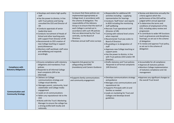|                                                        | • Develops and retains high quality<br>staff<br>. Has the power to dismiss, in line<br>with Trust policies and having<br>consulted the CEO and Director of<br><b>HR</b><br>• Conducts appraisals of senior<br>leadership team<br>• Conducts recruitment of Heads of<br>School and other teaching posts<br>with support from Director of HR<br>• Recommends to CEO creation of<br>new College teaching or support<br>posts/allowances<br>• Monitors staff workload, staff voice<br>and wellbeing and responds<br>accordingly | to ensure that these policies are<br>implemented appropriately at<br>College level, in accordance with<br>the scheme of delegation. The<br>responsibility of the Advisory<br>Group is to ensure that the work of<br>each College is carried out in<br>accordance with such HR policies<br>that are determined by the Trust<br>centrally, via the Board of<br>Directors.<br>• Reviews annual staff voice surveys | • Responsible for additional HR<br>activities including: - supplying<br>representation for hearings<br>• Conducts 'Staff Voice' and reports<br>to BOD including the monitoring<br>staff wellbeing<br>• Recruits Trust operational staff<br>(Director of HR)<br>• Liaising with national level unions<br>when required<br>• Recommends Trust pay scales to<br><b>Board of Directors</b><br>• Re-grading or re-designation of<br>staff<br>• Approves new College teaching or<br>support posts<br>. Has the power to dismiss, in line<br>with Trust policies (CEO and/or HR<br>Director) | • Review and determine annually the<br>criteria against which the<br>performance of the CEO will be<br>judged within annual appraisal<br>. To determine the terms and<br>conditions of employment of the<br>CEO, including salary review and<br>progression<br>. To contribute to wider HR functions<br>(such as grievances and disciplinary<br>hearings), as set out in the scheme<br>of delegation<br>• To review and approve Trust policy,<br>as set out in the scheme of<br>delegation |
|--------------------------------------------------------|-----------------------------------------------------------------------------------------------------------------------------------------------------------------------------------------------------------------------------------------------------------------------------------------------------------------------------------------------------------------------------------------------------------------------------------------------------------------------------------------------------------------------------|-----------------------------------------------------------------------------------------------------------------------------------------------------------------------------------------------------------------------------------------------------------------------------------------------------------------------------------------------------------------------------------------------------------------|---------------------------------------------------------------------------------------------------------------------------------------------------------------------------------------------------------------------------------------------------------------------------------------------------------------------------------------------------------------------------------------------------------------------------------------------------------------------------------------------------------------------------------------------------------------------------------------|--------------------------------------------------------------------------------------------------------------------------------------------------------------------------------------------------------------------------------------------------------------------------------------------------------------------------------------------------------------------------------------------------------------------------------------------------------------------------------------------|
| <b>Compliance with</b><br><b>Statutory Obligations</b> | • Ensures compliance with statutory<br>obligations and mandatory Trust<br>policies<br>• Responds to all informal College<br>level complaints (HR to be<br>informed)                                                                                                                                                                                                                                                                                                                                                         | • Appoints link governor for<br>safeguarding and SEND<br>(mandatory) and Careers Guidance                                                                                                                                                                                                                                                                                                                       | • Drafts statutory and Trust policies<br>Responds to all formal complaints<br>(HR Director)                                                                                                                                                                                                                                                                                                                                                                                                                                                                                           | • Accountable for all compliance<br>• Approve all statutory policies<br>• Monitors College implementation<br>of statutory compliance and risk<br>management                                                                                                                                                                                                                                                                                                                                |
| <b>Communication and</b><br><b>Community Strategy</b>  | • Delivers on College<br>communications strategy and<br>College visual identity<br>• Manages parent, community, local<br>stakeholder and College media<br>engagement<br>• Leads on LA communications<br>• Refers any reputational risk to the<br>CEO<br>. Works with the Trust's Marketing<br>Manager to ensure the college has<br>a strong profile both locally and<br>nationally                                                                                                                                          | • Supports family communications<br>and community engagement                                                                                                                                                                                                                                                                                                                                                    | · Develops communications strategy<br>and guidance<br>· Manages crisis communications and<br>reputational risk<br>• Supports Principals with LA and<br>families as needed<br>• Leads on marketing for Trust and<br>Colleges and develops brand<br>guidelines                                                                                                                                                                                                                                                                                                                          | • Approves any significant changes to<br>the overall Trust brand                                                                                                                                                                                                                                                                                                                                                                                                                           |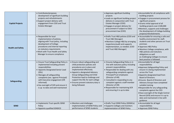| <b>Capital Projects</b>  | • Contributes/proposes<br>development of significant building<br>projects and refurbishments<br>• Support project delivery with<br>engagement from COO and Trust<br><b>Estates Manager</b>                                                                                                                                               |                                                                                                                                                                                                                                                                                                                                  | • Approves significant building<br>projects<br>• Leads on significant building project<br>delivery in conjunction with Trust<br>Estates Manager (COO)<br>• Engages in project delivery for<br>procurement if subject to OJEU<br>procurement law (COO)                                                                                                                                               | • Accountable for all compliance with<br>building projects<br>• Engages in procurement process for<br>significant projects<br>• Grants initial approval of all<br>building projects over £100,000<br>·Monitors, supports and challenges<br>the development of College building<br>projects/refurbishments                                                                                                                                                                                                          |
|--------------------------|------------------------------------------------------------------------------------------------------------------------------------------------------------------------------------------------------------------------------------------------------------------------------------------------------------------------------------------|----------------------------------------------------------------------------------------------------------------------------------------------------------------------------------------------------------------------------------------------------------------------------------------------------------------------------------|-----------------------------------------------------------------------------------------------------------------------------------------------------------------------------------------------------------------------------------------------------------------------------------------------------------------------------------------------------------------------------------------------------|--------------------------------------------------------------------------------------------------------------------------------------------------------------------------------------------------------------------------------------------------------------------------------------------------------------------------------------------------------------------------------------------------------------------------------------------------------------------------------------------------------------------|
| <b>Health and Safety</b> | • Responsible for local<br>implementation of policies,<br>aligning with Trust policy, including<br>development of College<br>procedures and internal reporting<br>on statutory requirements<br>. Work with Trust Health and Safety<br>Manager to ensure compliance                                                                       |                                                                                                                                                                                                                                                                                                                                  | • Drafts Trust H&S policies (COO and<br>Trust H&S Manager)<br>• Monitors College H&S by arranging<br>inspections/audit and supports<br>implementation, as needed. (COO<br>and Trust H&S Manager)                                                                                                                                                                                                    | • Accountable for ensuring a safe and<br>healthy environment for staff,<br>students and other persons on Trust<br>premises<br>• Approves H&S Policy<br>· Monitors College compliance, with<br>H&S policies and statutory<br>obligations as well<br>as challenging Colleges to ensure<br>best practice is followed                                                                                                                                                                                                  |
| Safeguarding             | • Ensure Trust Safeguarding Policy is<br>implemented including prevent<br>responsibilities<br>• Appoints Designated Senior Lead<br>(DSL)<br>• Manages all safeguarding<br>complaints (exc. against Principal)<br>with Executive engagement (HR<br>informed)<br>. Has oversight of SCR and ensure it<br>is up to date and well maintained | • Ensure robust safeguarding and<br>child protection policies and<br>procedures are in place and<br>implemented effectively<br>• Appoint a designated Advisory<br>Group Safeguarding and Child<br>Protection lead to challenge and<br>support the DSL for each college<br>• Ensures prevent statutory duty is<br>being followed. | • Ensures Safeguarding Policy is in<br>line with statutory policy including<br>prevent responsibilities<br>• Responsible for dealing with any<br>safeguarding complaints against<br>Principal/Trust employees<br>(Director of HR)<br>• Consulted in responding to any<br>complaint against a staff member<br>(Director of HR)<br>• Responsible for maintaining SCR<br>and ensuring it is up to date | • Accountable for all legal<br>responsibilities<br>• Approves Safeguarding Policy and<br>ensure it is being implemented<br>across the Trust<br>• Appoints designated lead from<br><b>Board of Directors</b><br><b>.</b> Ensures Board of Directors and<br>Advisory Groups have completed<br>suitable training<br>. Responsible for any safeguarding<br>complaints against the CEO<br>. Have oversight of the Single Central<br>Record (SCR) and ensure it is up to<br>date and maintained in line with<br>guidance |
| <b>SEND</b>              | • Implements Trust specific SEND<br>Policy<br>• Appoints qualified SENDCO                                                                                                                                                                                                                                                                | • Monitors and challenges<br>implementation of SEND Policy and<br>performance of SEND students                                                                                                                                                                                                                                   | • Drafts Trust SEND Policy (SENDCo)<br>• Supports Colleges and monitors<br>implementation of SEND Policy                                                                                                                                                                                                                                                                                            | • Accountable for all legal<br>responsibilities<br>• Approves SEND Policy                                                                                                                                                                                                                                                                                                                                                                                                                                          |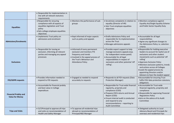|                                                        | • Responsible for implementation in<br>line with all relevant statutory<br>requirements                                                                        |                                                                                                                                                                                     |                                                                                                                                                                                                                                                                         |                                                                                                                                                                                                                                                                                                                                                                               |
|--------------------------------------------------------|----------------------------------------------------------------------------------------------------------------------------------------------------------------|-------------------------------------------------------------------------------------------------------------------------------------------------------------------------------------|-------------------------------------------------------------------------------------------------------------------------------------------------------------------------------------------------------------------------------------------------------------------------|-------------------------------------------------------------------------------------------------------------------------------------------------------------------------------------------------------------------------------------------------------------------------------------------------------------------------------------------------------------------------------|
| <b>Equalities</b>                                      | • Responsible for ensuring<br>compliance with all aspects of<br>equalities legislation and Trust<br>policy<br>· Sets college employee equalities<br>objectives | • Monitors the performance of sub-<br>groups                                                                                                                                        | · Scrutinises complaints in relation to<br>equality (Director of HR)<br>• Sets Trust employee equalities<br>objectives                                                                                                                                                  | • Monitors compliance against<br><b>Equality Act/Single Equality Scheme</b><br>and Public Sector Equality Duty                                                                                                                                                                                                                                                                |
| <b>Admissions/Enrolments</b>                           | • Implements Trust policy on<br>admissions and enrolment                                                                                                       | • Kept informed of major aspects<br>such as policy and appeals                                                                                                                      | • Drafts Admissions Policy and<br>responsible for its implementation<br>across the Trust<br>· Manages admissions appeals                                                                                                                                                | • Accountable for all legal<br>responsibilities<br>• Agree any significant changes to<br>the Admissions Policy i.e. selection<br>criteria                                                                                                                                                                                                                                     |
| <b>Exclusions</b>                                      | • Responsible for issuing an<br>exclusion, informing all relevant<br>parties and managing any appeal<br>processes                                              | • Informed of every permanent<br>exclusion and monitors FTE<br>frequency and trends<br>• Involved in the appeal process of<br>the Trust's Behaviour and<br><b>Attendance Policy</b> | • Provides expert support to help<br>manage exclusions appeals (esp.<br>for independent review panel)<br>• Accountable for all legal<br>responsibilities in respect of<br>exclusions and other potential 'off<br>rolling'.                                              | • Responsible for holding executive<br>leaders to account for lawful use of<br>exclusions and other student<br>movements such as potential 'off<br>rolling'<br>· Approves Exclusion Policy<br>· Monitors exclusion patterns, trends<br>and actions across all Colleges<br>• Leads the appeal process by<br>appointing Directors and/or<br>Advisors to hear the student appeal |
| <b>FOI/GDPR requests</b>                               | · Provides information needed to<br>respond to FOI requests                                                                                                    | • Engaged as needed to respond<br>accurately to requests                                                                                                                            | • Responds to all FOI requests (Data<br>Protection Manager)                                                                                                                                                                                                             | • Accountable for ensuring Trust<br>fulfils FOI/ data protection statutory<br>obligations                                                                                                                                                                                                                                                                                     |
| <b>Financial Probity and</b><br><b>Value for Money</b> | • Accountable for financial probity<br>and best value in College<br>expenditure                                                                                |                                                                                                                                                                                     | · Responsible for Trust-wide financial<br>regularity, propriety and<br>compliance (COO)<br>• Prepares ESFA returns and Annual<br>Report (COO)<br>• Ensure internal audit is conducted<br>and respond to any<br>recommendations - reporting to<br><b>Audit Committee</b> | • Accountable for Trust-wide<br>financial regularity, propriety and<br>compliance<br>• Responsible for approving Financial<br><b>Regulations Policy</b><br>• Acts on the advice of its Audit<br>Committee                                                                                                                                                                     |
| <b>Trips and Visits</b>                                | • SLT/Principal to approve all trips<br>and visits on recommendation of<br>Health and Safety Manager                                                           | • To approve all residential trips<br>abroad on recommendation of<br>Principal/H&S Manager                                                                                          |                                                                                                                                                                                                                                                                         | • Delegated authority to Local<br>Advisory Board and Principals for<br>overseas and residential trips                                                                                                                                                                                                                                                                         |